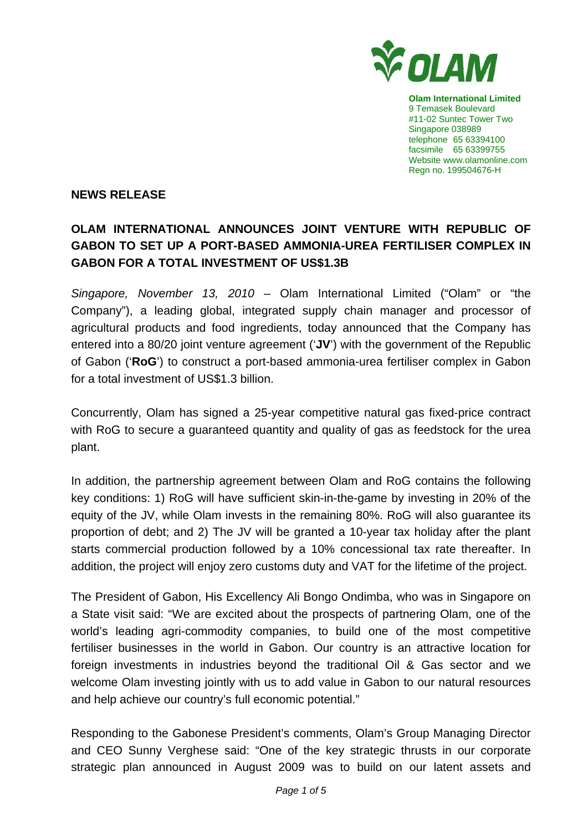

**Olam International Limited**  9 Temasek Boulevard #11-02 Suntec Tower Two Singapore 038989 telephone 65 63394100 facsimile 65 63399755 Website www.olamonline.com Regn no. 199504676-H

### **NEWS RELEASE**

# **OLAM INTERNATIONAL ANNOUNCES JOINT VENTURE WITH REPUBLIC OF GABON TO SET UP A PORT-BASED AMMONIA-UREA FERTILISER COMPLEX IN GABON FOR A TOTAL INVESTMENT OF US\$1.3B**

*Singapore, November 13, 2010 –* Olam International Limited ("Olam" or "the Company"), a leading global, integrated supply chain manager and processor of agricultural products and food ingredients, today announced that the Company has entered into a 80/20 joint venture agreement ('**JV**') with the government of the Republic of Gabon ('**RoG**') to construct a port-based ammonia-urea fertiliser complex in Gabon for a total investment of US\$1.3 billion.

Concurrently, Olam has signed a 25-year competitive natural gas fixed-price contract with RoG to secure a guaranteed quantity and quality of gas as feedstock for the urea plant.

In addition, the partnership agreement between Olam and RoG contains the following key conditions: 1) RoG will have sufficient skin-in-the-game by investing in 20% of the equity of the JV, while Olam invests in the remaining 80%. RoG will also guarantee its proportion of debt; and 2) The JV will be granted a 10-year tax holiday after the plant starts commercial production followed by a 10% concessional tax rate thereafter. In addition, the project will enjoy zero customs duty and VAT for the lifetime of the project.

The President of Gabon, His Excellency Ali Bongo Ondimba, who was in Singapore on a State visit said: "We are excited about the prospects of partnering Olam, one of the world's leading agri-commodity companies, to build one of the most competitive fertiliser businesses in the world in Gabon. Our country is an attractive location for foreign investments in industries beyond the traditional Oil & Gas sector and we welcome Olam investing jointly with us to add value in Gabon to our natural resources and help achieve our country's full economic potential."

Responding to the Gabonese President's comments, Olam's Group Managing Director and CEO Sunny Verghese said: "One of the key strategic thrusts in our corporate strategic plan announced in August 2009 was to build on our latent assets and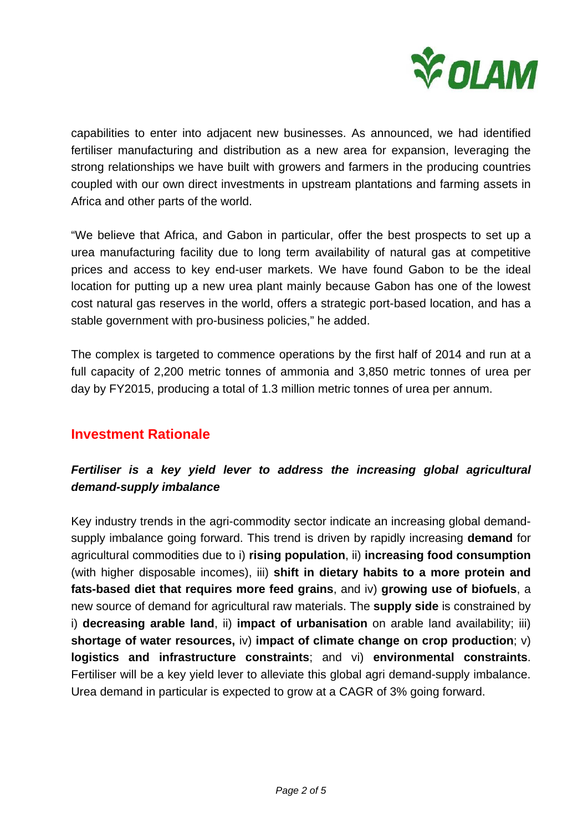

capabilities to enter into adjacent new businesses. As announced, we had identified fertiliser manufacturing and distribution as a new area for expansion, leveraging the strong relationships we have built with growers and farmers in the producing countries coupled with our own direct investments in upstream plantations and farming assets in Africa and other parts of the world.

"We believe that Africa, and Gabon in particular, offer the best prospects to set up a urea manufacturing facility due to long term availability of natural gas at competitive prices and access to key end-user markets. We have found Gabon to be the ideal location for putting up a new urea plant mainly because Gabon has one of the lowest cost natural gas reserves in the world, offers a strategic port-based location, and has a stable government with pro-business policies," he added.

The complex is targeted to commence operations by the first half of 2014 and run at a full capacity of 2,200 metric tonnes of ammonia and 3,850 metric tonnes of urea per day by FY2015, producing a total of 1.3 million metric tonnes of urea per annum.

### **Investment Rationale**

### *Fertiliser is a key yield lever to address the increasing global agricultural demand-supply imbalance*

Key industry trends in the agri-commodity sector indicate an increasing global demandsupply imbalance going forward. This trend is driven by rapidly increasing **demand** for agricultural commodities due to i) **rising population**, ii) **increasing food consumption** (with higher disposable incomes), iii) **shift in dietary habits to a more protein and fats-based diet that requires more feed grains**, and iv) **growing use of biofuels**, a new source of demand for agricultural raw materials. The **supply side** is constrained by i) **decreasing arable land**, ii) **impact of urbanisation** on arable land availability; iii) **shortage of water resources,** iv) **impact of climate change on crop production**; v) **logistics and infrastructure constraints**; and vi) **environmental constraints**. Fertiliser will be a key yield lever to alleviate this global agri demand-supply imbalance. Urea demand in particular is expected to grow at a CAGR of 3% going forward.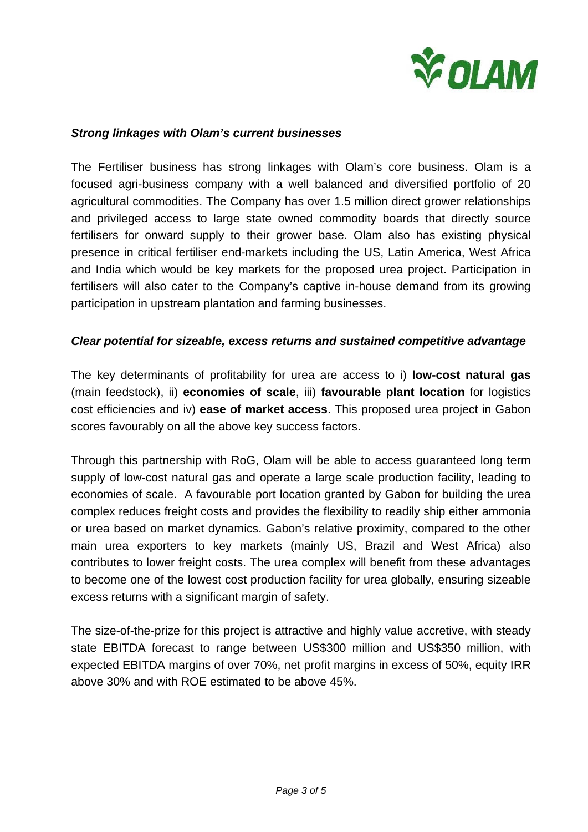

#### *Strong linkages with Olam's current businesses*

The Fertiliser business has strong linkages with Olam's core business. Olam is a focused agri-business company with a well balanced and diversified portfolio of 20 agricultural commodities. The Company has over 1.5 million direct grower relationships and privileged access to large state owned commodity boards that directly source fertilisers for onward supply to their grower base. Olam also has existing physical presence in critical fertiliser end-markets including the US, Latin America, West Africa and India which would be key markets for the proposed urea project. Participation in fertilisers will also cater to the Company's captive in-house demand from its growing participation in upstream plantation and farming businesses.

#### *Clear potential for sizeable, excess returns and sustained competitive advantage*

The key determinants of profitability for urea are access to i) **low-cost natural gas** (main feedstock), ii) **economies of scale**, iii) **favourable plant location** for logistics cost efficiencies and iv) **ease of market access**. This proposed urea project in Gabon scores favourably on all the above key success factors.

Through this partnership with RoG, Olam will be able to access guaranteed long term supply of low-cost natural gas and operate a large scale production facility, leading to economies of scale. A favourable port location granted by Gabon for building the urea complex reduces freight costs and provides the flexibility to readily ship either ammonia or urea based on market dynamics. Gabon's relative proximity, compared to the other main urea exporters to key markets (mainly US, Brazil and West Africa) also contributes to lower freight costs. The urea complex will benefit from these advantages to become one of the lowest cost production facility for urea globally, ensuring sizeable excess returns with a significant margin of safety.

The size-of-the-prize for this project is attractive and highly value accretive, with steady state EBITDA forecast to range between US\$300 million and US\$350 million, with expected EBITDA margins of over 70%, net profit margins in excess of 50%, equity IRR above 30% and with ROE estimated to be above 45%.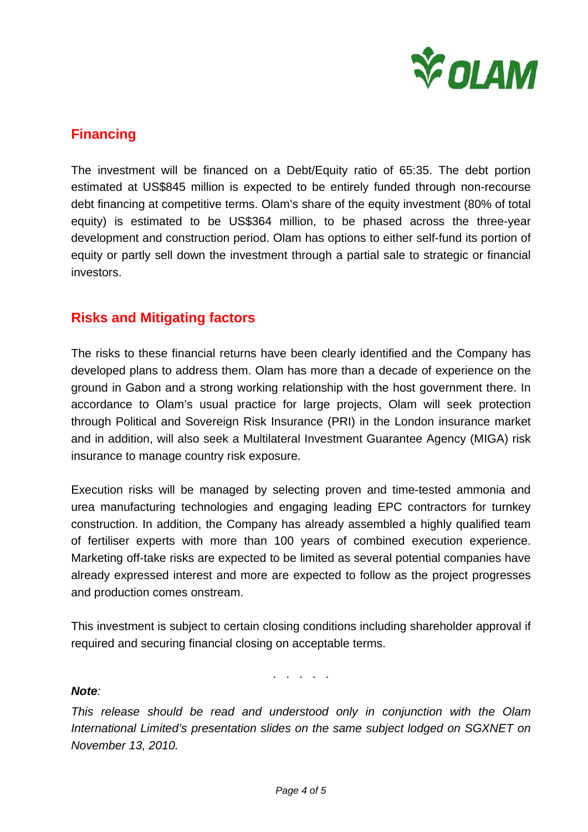

# **Financing**

The investment will be financed on a Debt/Equity ratio of 65:35. The debt portion estimated at US\$845 million is expected to be entirely funded through non-recourse debt financing at competitive terms. Olam's share of the equity investment (80% of total equity) is estimated to be US\$364 million, to be phased across the three-year development and construction period. Olam has options to either self-fund its portion of equity or partly sell down the investment through a partial sale to strategic or financial investors.

## **Risks and Mitigating factors**

The risks to these financial returns have been clearly identified and the Company has developed plans to address them. Olam has more than a decade of experience on the ground in Gabon and a strong working relationship with the host government there. In accordance to Olam's usual practice for large projects, Olam will seek protection through Political and Sovereign Risk Insurance (PRI) in the London insurance market and in addition, will also seek a Multilateral Investment Guarantee Agency (MIGA) risk insurance to manage country risk exposure.

Execution risks will be managed by selecting proven and time-tested ammonia and urea manufacturing technologies and engaging leading EPC contractors for turnkey construction. In addition, the Company has already assembled a highly qualified team of fertiliser experts with more than 100 years of combined execution experience. Marketing off-take risks are expected to be limited as several potential companies have already expressed interest and more are expected to follow as the project progresses and production comes onstream.

This investment is subject to certain closing conditions including shareholder approval if required and securing financial closing on acceptable terms.

. . . . .

#### *Note:*

*This release should be read and understood only in conjunction with the Olam International Limited's presentation slides on the same subject lodged on SGXNET on November 13, 2010.*